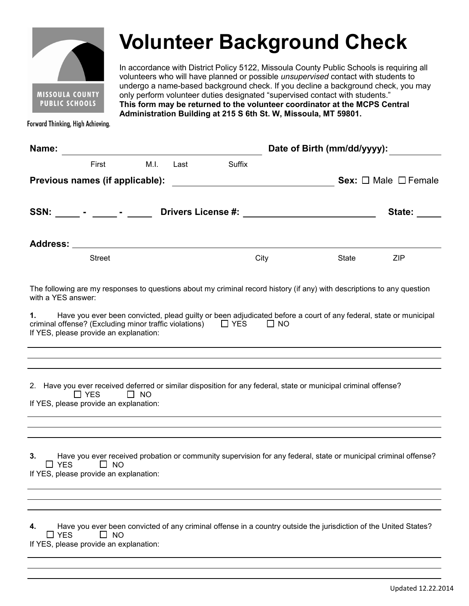

## **Volunteer Background Check**

In accordance with District Policy 5122, Missoula County Public Schools is requiring all volunteers who will have planned or possible *unsupervised* contact with students to undergo a name-based background check. If you decline a background check, you may only perform volunteer duties designated "supervised contact with students." **This form may be returned to the volunteer coordinator at the MCPS Central Administration Building at 215 S 6th St. W, Missoula, MT 59801.** 

Forward Thinking, High Achieving.

| Name:                                                                                                                                                                                                                                 | Date of Birth (mm/dd/yyyy): |           |                                |  |  |
|---------------------------------------------------------------------------------------------------------------------------------------------------------------------------------------------------------------------------------------|-----------------------------|-----------|--------------------------------|--|--|
| M.I.<br>First                                                                                                                                                                                                                         | Suffix<br>Last              |           |                                |  |  |
| Previous names (if applicable):                                                                                                                                                                                                       |                             |           | Sex: $\Box$ Male $\Box$ Female |  |  |
| SSN: _____ - ____ - _____ -                                                                                                                                                                                                           |                             |           | State:                         |  |  |
|                                                                                                                                                                                                                                       |                             |           |                                |  |  |
|                                                                                                                                                                                                                                       |                             |           |                                |  |  |
| <b>Street</b>                                                                                                                                                                                                                         | City                        |           | State<br><b>ZIP</b>            |  |  |
| The following are my responses to questions about my criminal record history (if any) with descriptions to any question<br>with a YES answer:                                                                                         |                             |           |                                |  |  |
| Have you ever been convicted, plead guilty or been adjudicated before a court of any federal, state or municipal<br>1.<br>criminal offense? (Excluding minor traffic violations) $\Box$ YES<br>If YES, please provide an explanation: |                             | $\Box$ NO |                                |  |  |
|                                                                                                                                                                                                                                       |                             |           |                                |  |  |
| 2. Have you ever received deferred or similar disposition for any federal, state or municipal criminal offense?<br>$\Box$ YES<br>$\Box$ NO<br>If YES, please provide an explanation:                                                  |                             |           |                                |  |  |
| Have you ever received probation or community supervision for any federal, state or municipal criminal offense?<br>3.<br>$\Box$ YES<br>$\Box$ NO<br>If YES, please provide an explanation:                                            |                             |           |                                |  |  |
|                                                                                                                                                                                                                                       |                             |           |                                |  |  |
| Have you ever been convicted of any criminal offense in a country outside the jurisdiction of the United States?<br>4.<br><b>YES</b><br><b>NO</b><br>l 1<br>If YES, please provide an explanation:                                    |                             |           |                                |  |  |
|                                                                                                                                                                                                                                       |                             |           |                                |  |  |